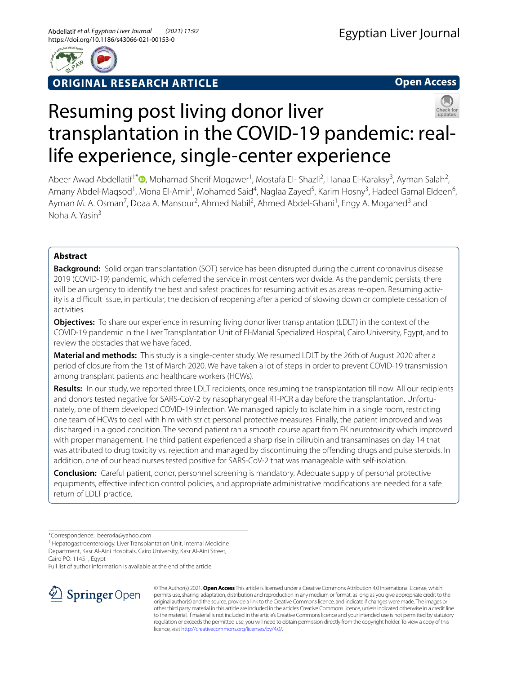

**ORIGINAL RESEARCH ARTICLE**

**Open Access**

# Resuming post living donor liver transplantation in the COVID-19 pandemic: reallife experience, single-center experience

Abeer Awad Abdellatif<sup>1\*</sup> <sup>(D</sup>[,](http://orcid.org/0000-0001-9945-9767) Mohamad Sherif Mogawer<sup>1</sup>, Mostafa El- Shazli<sup>2</sup>, Hanaa El-Karaksy<sup>3</sup>, Ayman Salah<sup>2</sup>, Amany Abdel-Maqsod<sup>1</sup>, Mona El-Amir<sup>1</sup>, Mohamed Said<sup>4</sup>, Naglaa Zayed<sup>5</sup>, Karim Hosny<sup>3</sup>, Hadeel Gamal Eldeen<sup>6</sup>, Ayman M. A. Osman<sup>7</sup>, Doaa A. Mansour<sup>2</sup>, Ahmed Nabil<sup>2</sup>, Ahmed Abdel-Ghani<sup>1</sup>, Engy A. Mogahed<sup>3</sup> and Noha A. Yasin<sup>3</sup>

# **Abstract**

**Background:** Solid organ transplantation (SOT) service has been disrupted during the current coronavirus disease 2019 (COVID-19) pandemic, which deferred the service in most centers worldwide. As the pandemic persists, there will be an urgency to identify the best and safest practices for resuming activities as areas re-open. Resuming activity is a difcult issue, in particular, the decision of reopening after a period of slowing down or complete cessation of activities.

**Objectives:** To share our experience in resuming living donor liver transplantation (LDLT) in the context of the COVID-19 pandemic in the Liver Transplantation Unit of El-Manial Specialized Hospital, Cairo University, Egypt, and to review the obstacles that we have faced.

**Material and methods:** This study is a single-center study. We resumed LDLT by the 26th of August 2020 after a period of closure from the 1st of March 2020. We have taken a lot of steps in order to prevent COVID-19 transmission among transplant patients and healthcare workers (HCWs).

**Results:** In our study, we reported three LDLT recipients, once resuming the transplantation till now. All our recipients and donors tested negative for SARS-CoV-2 by nasopharyngeal RT-PCR a day before the transplantation. Unfortunately, one of them developed COVID-19 infection. We managed rapidly to isolate him in a single room, restricting one team of HCWs to deal with him with strict personal protective measures. Finally, the patient improved and was discharged in a good condition. The second patient ran a smooth course apart from FK neurotoxicity which improved with proper management. The third patient experienced a sharp rise in bilirubin and transaminases on day 14 that was attributed to drug toxicity vs. rejection and managed by discontinuing the ofending drugs and pulse steroids. In addition, one of our head nurses tested positive for SARS-CoV-2 that was manageable with self-isolation.

**Conclusion:** Careful patient, donor, personnel screening is mandatory. Adequate supply of personal protective equipments, efective infection control policies, and appropriate administrative modifcations are needed for a safe return of LDLT practice.

\*Correspondence: beero4a@yahoo.com

<sup>1</sup> Hepatogastroenterology, Liver Transplantation Unit, Internal Medicine Department, Kasr Al-Aini Hospitals, Cairo University, Kasr Al-Aini Street, Cairo PO: 11451, Egypt

Full list of author information is available at the end of the article



© The Author(s) 2021. **Open Access** This article is licensed under a Creative Commons Attribution 4.0 International License, which permits use, sharing, adaptation, distribution and reproduction in any medium or format, as long as you give appropriate credit to the original author(s) and the source, provide a link to the Creative Commons licence, and indicate if changes were made. The images or other third party material in this article are included in the article's Creative Commons licence, unless indicated otherwise in a credit line to the material. If material is not included in the article's Creative Commons licence and your intended use is not permitted by statutory regulation or exceeds the permitted use, you will need to obtain permission directly from the copyright holder. To view a copy of this licence, visit [http://creativecommons.org/licenses/by/4.0/.](http://creativecommons.org/licenses/by/4.0/)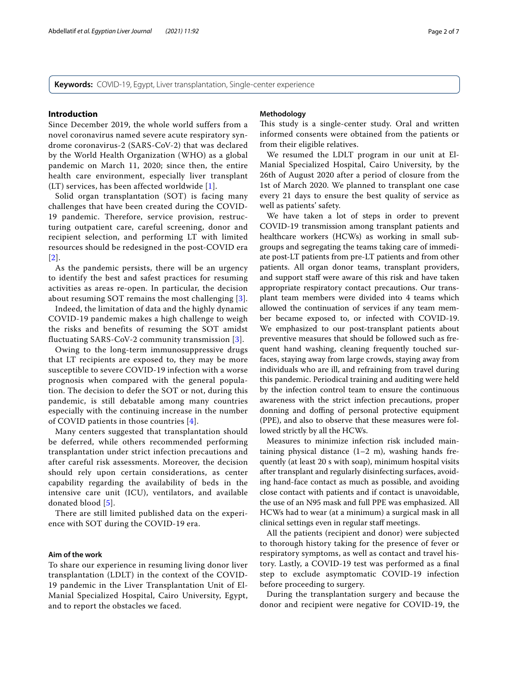**Keywords:** COVID-19, Egypt, Liver transplantation, Single-center experience

## **Introduction**

Since December 2019, the whole world suffers from a novel coronavirus named severe acute respiratory syndrome coronavirus-2 (SARS-CoV-2) that was declared by the World Health Organization (WHO) as a global pandemic on March 11, 2020; since then, the entire health care environment, especially liver transplant (LT) services, has been affected worldwide [[1](#page-5-0)].

Solid organ transplantation (SOT) is facing many challenges that have been created during the COVID-19 pandemic. Therefore, service provision, restructuring outpatient care, careful screening, donor and recipient selection, and performing LT with limited resources should be redesigned in the post-COVID era [[2](#page-6-0)].

As the pandemic persists, there will be an urgency to identify the best and safest practices for resuming activities as areas re-open. In particular, the decision about resuming SOT remains the most challenging [[3\]](#page-6-1).

Indeed, the limitation of data and the highly dynamic COVID-19 pandemic makes a high challenge to weigh the risks and benefits of resuming the SOT amidst fluctuating SARS-CoV-2 community transmission [[3\]](#page-6-1).

Owing to the long-term immunosuppressive drugs that LT recipients are exposed to, they may be more susceptible to severe COVID-19 infection with a worse prognosis when compared with the general population. The decision to defer the SOT or not, during this pandemic, is still debatable among many countries especially with the continuing increase in the number of COVID patients in those countries [[4](#page-6-2)].

Many centers suggested that transplantation should be deferred, while others recommended performing transplantation under strict infection precautions and after careful risk assessments. Moreover, the decision should rely upon certain considerations, as center capability regarding the availability of beds in the intensive care unit (ICU), ventilators, and available donated blood [\[5](#page-6-3)].

There are still limited published data on the experience with SOT during the COVID-19 era.

## **Aim of the work**

To share our experience in resuming living donor liver transplantation (LDLT) in the context of the COVID-19 pandemic in the Liver Transplantation Unit of El-Manial Specialized Hospital, Cairo University, Egypt, and to report the obstacles we faced.

#### **Methodology**

This study is a single-center study. Oral and written informed consents were obtained from the patients or from their eligible relatives.

We resumed the LDLT program in our unit at El-Manial Specialized Hospital, Cairo University, by the 26th of August 2020 after a period of closure from the 1st of March 2020. We planned to transplant one case every 21 days to ensure the best quality of service as well as patients' safety.

We have taken a lot of steps in order to prevent COVID-19 transmission among transplant patients and healthcare workers (HCWs) as working in small subgroups and segregating the teams taking care of immediate post-LT patients from pre-LT patients and from other patients. All organ donor teams, transplant providers, and support staff were aware of this risk and have taken appropriate respiratory contact precautions. Our transplant team members were divided into 4 teams which allowed the continuation of services if any team member became exposed to, or infected with COVID-19. We emphasized to our post-transplant patients about preventive measures that should be followed such as frequent hand washing, cleaning frequently touched surfaces, staying away from large crowds, staying away from individuals who are ill, and refraining from travel during this pandemic. Periodical training and auditing were held by the infection control team to ensure the continuous awareness with the strict infection precautions, proper donning and doffing of personal protective equipment (PPE), and also to observe that these measures were followed strictly by all the HCWs.

Measures to minimize infection risk included maintaining physical distance  $(1-2 \, \text{m})$ , washing hands frequently (at least 20 s with soap), minimum hospital visits after transplant and regularly disinfecting surfaces, avoiding hand-face contact as much as possible, and avoiding close contact with patients and if contact is unavoidable, the use of an N95 mask and full PPE was emphasized. All HCWs had to wear (at a minimum) a surgical mask in all clinical settings even in regular staf meetings.

All the patients (recipient and donor) were subjected to thorough history taking for the presence of fever or respiratory symptoms, as well as contact and travel history. Lastly, a COVID-19 test was performed as a fnal step to exclude asymptomatic COVID-19 infection before proceeding to surgery.

During the transplantation surgery and because the donor and recipient were negative for COVID-19, the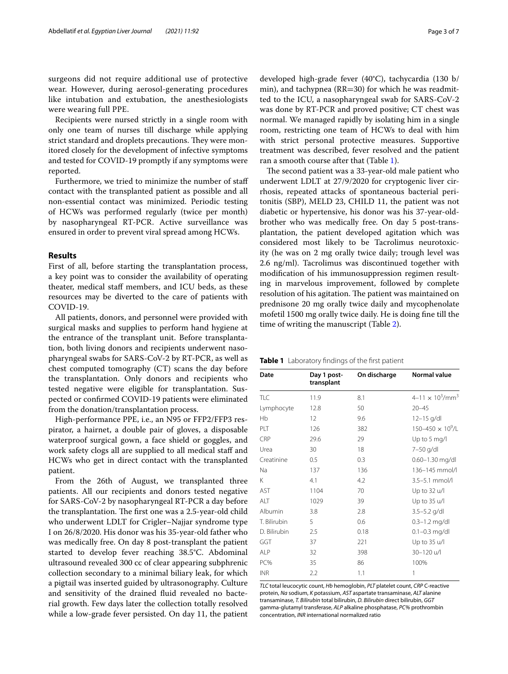surgeons did not require additional use of protective wear. However, during aerosol-generating procedures like intubation and extubation, the anesthesiologists were wearing full PPE.

Recipients were nursed strictly in a single room with only one team of nurses till discharge while applying strict standard and droplets precautions. They were monitored closely for the development of infective symptoms and tested for COVID-19 promptly if any symptoms were reported.

Furthermore, we tried to minimize the number of staf contact with the transplanted patient as possible and all non-essential contact was minimized. Periodic testing of HCWs was performed regularly (twice per month) by nasopharyngeal RT-PCR. Active surveillance was ensured in order to prevent viral spread among HCWs.

## **Results**

First of all, before starting the transplantation process, a key point was to consider the availability of operating theater, medical staff members, and ICU beds, as these resources may be diverted to the care of patients with COVID-19.

All patients, donors, and personnel were provided with surgical masks and supplies to perform hand hygiene at the entrance of the transplant unit. Before transplantation, both living donors and recipients underwent nasopharyngeal swabs for SARS-CoV-2 by RT-PCR, as well as chest computed tomography (CT) scans the day before the transplantation. Only donors and recipients who tested negative were eligible for transplantation. Suspected or confrmed COVID-19 patients were eliminated from the donation/transplantation process.

High-performance PPE, i.e., an N95 or FFP2/FFP3 respirator, a hairnet, a double pair of gloves, a disposable waterproof surgical gown, a face shield or goggles, and work safety clogs all are supplied to all medical staff and HCWs who get in direct contact with the transplanted patient.

From the 26th of August, we transplanted three patients. All our recipients and donors tested negative for SARS-CoV-2 by nasopharyngeal RT-PCR a day before the transplantation. The first one was a 2.5-year-old child who underwent LDLT for Crigler–Najjar syndrome type I on 26/8/2020. His donor was his 35-year-old father who was medically free. On day 8 post-transplant the patient started to develop fever reaching 38.5°C. Abdominal ultrasound revealed 300 cc of clear appearing subphrenic collection secondary to a minimal biliary leak, for which a pigtail was inserted guided by ultrasonography. Culture and sensitivity of the drained fuid revealed no bacterial growth. Few days later the collection totally resolved while a low-grade fever persisted. On day 11, the patient developed high-grade fever (40°C), tachycardia (130 b/ min), and tachypnea (RR=30) for which he was readmitted to the ICU, a nasopharyngeal swab for SARS-CoV-2 was done by RT-PCR and proved positive; CT chest was normal. We managed rapidly by isolating him in a single room, restricting one team of HCWs to deal with him with strict personal protective measures. Supportive treatment was described, fever resolved and the patient ran a smooth course after that (Table [1\)](#page-2-0).

The second patient was a 33-year-old male patient who underwent LDLT at 27/9/2020 for cryptogenic liver cirrhosis, repeated attacks of spontaneous bacterial peritonitis (SBP), MELD 23, CHILD 11, the patient was not diabetic or hypertensive, his donor was his 37-year-oldbrother who was medically free. On day 5 post-transplantation, the patient developed agitation which was considered most likely to be Tacrolimus neurotoxicity (he was on 2 mg orally twice daily; trough level was 2.6 ng/ml). Tacrolimus was discontinued together with modifcation of his immunosuppression regimen resulting in marvelous improvement, followed by complete resolution of his agitation. The patient was maintained on prednisone 20 mg orally twice daily and mycophenolate mofetil 1500 mg orally twice daily. He is doing fne till the time of writing the manuscript (Table [2](#page-3-0)).

<span id="page-2-0"></span>

|  | <b>Table 1</b> Laboratory findings of the first patient |  |  |  |
|--|---------------------------------------------------------|--|--|--|
|--|---------------------------------------------------------|--|--|--|

| Date         | Day 1 post-<br>transplant | On discharge | <b>Normal value</b>                   |
|--------------|---------------------------|--------------|---------------------------------------|
| <b>TLC</b>   | 11.9                      | 8.1          | $4 - 11 \times 10^3$ /mm <sup>3</sup> |
| Lymphocyte   | 12.8                      | 50           | $20 - 45$                             |
| Hb           | 12                        | 9.6          | $12 - 15$ g/dl                        |
| PLT          | 126                       | 382          | $150 - 450 \times 10^{9}$ /L          |
| CRP          | 29.6                      | 29           | Up to 5 mg/l                          |
| Urea         | 30                        | 18           | 7-50 g/dl                             |
| Creatinine   | 0.5                       | 0.3          | $0.60 - 1.30$ mg/dl                   |
| Na           | 137                       | 136          | 136-145 mmol/l                        |
| K            | 4.1                       | 4.2          | $3.5 - 5.1$ mmol/l                    |
| AST          | 1104                      | 70           | Up to 32 u/l                          |
| ALT          | 1029                      | 39           | Up to 35 u/l                          |
| Albumin      | 3.8                       | 2.8          | $3.5 - 5.2$ g/dl                      |
| T. Bilirubin | 5                         | 0.6          | $0.3 - 1.2$ mg/dl                     |
| D. Bilirubin | 2.5                       | 0.18         | $0.1 - 0.3$ mg/dl                     |
| GGT          | 37                        | 221          | Up to 35 u/l                          |
| ALP          | 32                        | 398          | 30-120 u/l                            |
| PC%          | 35                        | 86           | 100%                                  |
| <b>INR</b>   | 2.2                       | 1.1          | 1                                     |

*TLC* total leucocytic count, *Hb* hemoglobin, *PLT* platelet count, *CRP* C-reactive protein, *Na* sodium, *K* potassium, *AST* aspartate transaminase, *ALT* alanine transaminase, *T. Bilirubin* total bilirubin, *D. Bilirubin* direct bilirubin, *GGT* gamma-glutamyl transferase, *ALP* alkaline phosphatase, *PC%* prothrombin concentration, *INR* international normalized ratio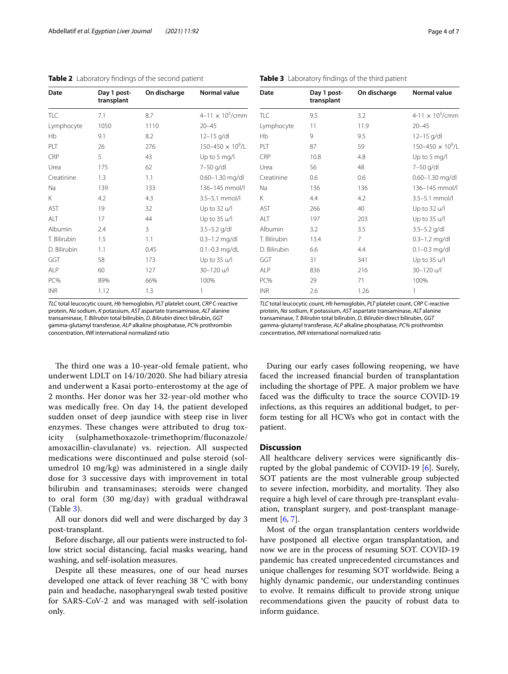<span id="page-3-0"></span>

| Table 2 Laboratory findings of the second patient |  |
|---------------------------------------------------|--|
|---------------------------------------------------|--|

| Date         | Day 1 post-<br>transplant | On discharge | <b>Normal value</b>        |
|--------------|---------------------------|--------------|----------------------------|
| <b>TLC</b>   | 7.1                       | 8.7          | $4 - 11 \times 10^3$ /cmm  |
| Lymphocyte   | 1050                      | 1110         | $20 - 45$                  |
| Hb           | 9.1                       | 8.2          | $12 - 15$ g/dl             |
| PLT          | 26                        | 276          | $150 - 450 \times 10^9$ /L |
| CRP          | 5                         | 43           | Up to 5 mg/l               |
| Urea         | 175                       | 62           | 7-50 g/dl                  |
| Creatinine   | 1.3                       | 1.1          | $0.60 - 1.30$ mg/dl        |
| Na           | 139                       | 133          | 136-145 mmol/l             |
| Κ            | 4.2                       | 4.3          | 3.5-5.1 mmol/l             |
| AST          | 19                        | 32           | Up to 32 u/l               |
| ALT          | 17                        | 44           | Up to 35 u/l               |
| Albumin      | 2.4                       | 3            | $3.5 - 5.2$ g/dl           |
| T. Bilirubin | 1.5                       | 1.1          | $0.3 - 1.2$ mg/dl          |
| D. Bilirubin | 1.1                       | 0.45         | $0.1 - 0.3$ mg/dL          |
| GGT          | 58                        | 173          | Up to 35 u/l               |
| <b>ALP</b>   | 60                        | 127          | 30-120 u/l                 |
| PC%          | 89%                       | 66%          | 100%                       |
| <b>INR</b>   | 1.12                      | 1.3          | 1                          |

*TLC* total leucocytic count, *Hb* hemoglobin, *PLT* platelet count, *CRP* C-reactive protein, *Na* sodium, *K* potassium, *AST* aspartate transaminase, *ALT* alanine transaminase, *T. Bilirubin* total bilirubin, *D. Bilirubin* direct bilirubin, *GGT* gamma-glutamyl transferase, *ALP* alkaline phosphatase, *PC%* prothrombin concentration, *INR* international normalized ratio

The third one was a 10-year-old female patient, who underwent LDLT on 14/10/2020. She had biliary atresia and underwent a Kasai porto-enterostomy at the age of 2 months. Her donor was her 32-year-old mother who was medically free. On day 14, the patient developed sudden onset of deep jaundice with steep rise in liver enzymes. These changes were attributed to drug toxicity (sulphamethoxazole-trimethoprim/fuconazole/ amoxacillin-clavulanate) vs. rejection. All suspected medications were discontinued and pulse steroid (solumedrol 10 mg/kg) was administered in a single daily dose for 3 successive days with improvement in total bilirubin and transaminases; steroids were changed to oral form (30 mg/day) with gradual withdrawal (Table [3\)](#page-3-1).

All our donors did well and were discharged by day 3 post-transplant.

Before discharge, all our patients were instructed to follow strict social distancing, facial masks wearing, hand washing, and self-isolation measures.

Despite all these measures, one of our head nurses developed one attack of fever reaching 38 °C with bony pain and headache, nasopharyngeal swab tested positive for SARS-CoV-2 and was managed with self-isolation only.

<span id="page-3-1"></span>**Table 3** Laboratory fndings of the third patient

| Date         | Day 1 post-<br>transplant | On discharge | <b>Normal value</b>                |
|--------------|---------------------------|--------------|------------------------------------|
| TLC          | 9.5                       | 3.2          | 4-11 $\times$ 10 <sup>3</sup> /cmm |
| Lymphocyte   | 11                        | 11.9         | $20 - 45$                          |
| Hb           | 9                         | 9.5          | $12 - 15$ g/dl                     |
| PLT          | 87                        | 59           | $150 - 450 \times 10^9$ /L         |
| <b>CRP</b>   | 10.8                      | 4.8          | Up to 5 mg/l                       |
| Urea         | 56                        | 48           | 7-50 g/dl                          |
| Creatinine   | 0.6                       | 0.6          | 0.60-1.30 mg/dl                    |
| Na           | 136                       | 136          | 136-145 mmol/l                     |
| K            | 4.4                       | 4.2          | 3.5-5.1 mmol/l                     |
| AST          | 266                       | 40           | Up to 32 u/l                       |
| ALT          | 197                       | 203          | Up to 35 u/l                       |
| Albumin      | 3.2                       | 3.5          | $3.5 - 5.2$ g/dl                   |
| T. Bilirubin | 13.4                      | 7            | $0.3 - 1.2$ mg/dl                  |
| D. Bilirubin | 6.6                       | 4.4          | $0.1 - 0.3$ mg/dl                  |
| GGT          | 31                        | 341          | Up to 35 u/l                       |
| <b>ALP</b>   | 836                       | 216          | 30-120 u/l                         |
| PC%          | 29                        | 71           | 100%                               |
| <b>INR</b>   | 2.6                       | 1.26         | 1                                  |
|              |                           |              |                                    |

*TLC* total leucocytic count, *Hb* hemoglobin, *PLT* platelet count, *CRP* C-reactive protein, *Na* sodium, *K* potassium, *AST* aspartate transaminase, *ALT* alanine transaminase, *T. Bilirubin* total bilirubin, *D. Bilirubin* direct bilirubin, *GGT* gamma-glutamyl transferase, *ALP* alkaline phosphatase, *PC%* prothrombin concentration, *INR* international normalized ratio

During our early cases following reopening, we have faced the increased fnancial burden of transplantation including the shortage of PPE. A major problem we have faced was the difficulty to trace the source COVID-19 infections, as this requires an additional budget, to perform testing for all HCWs who got in contact with the patient.

## **Discussion**

All healthcare delivery services were signifcantly disrupted by the global pandemic of COVID-19 [\[6\]](#page-6-4). Surely, SOT patients are the most vulnerable group subjected to severe infection, morbidity, and mortality. They also require a high level of care through pre-transplant evaluation, transplant surgery, and post-transplant management [[6](#page-6-4), [7\]](#page-6-5).

Most of the organ transplantation centers worldwide have postponed all elective organ transplantation, and now we are in the process of resuming SOT. COVID-19 pandemic has created unprecedented circumstances and unique challenges for resuming SOT worldwide. Being a highly dynamic pandemic, our understanding continues to evolve. It remains difficult to provide strong unique recommendations given the paucity of robust data to inform guidance.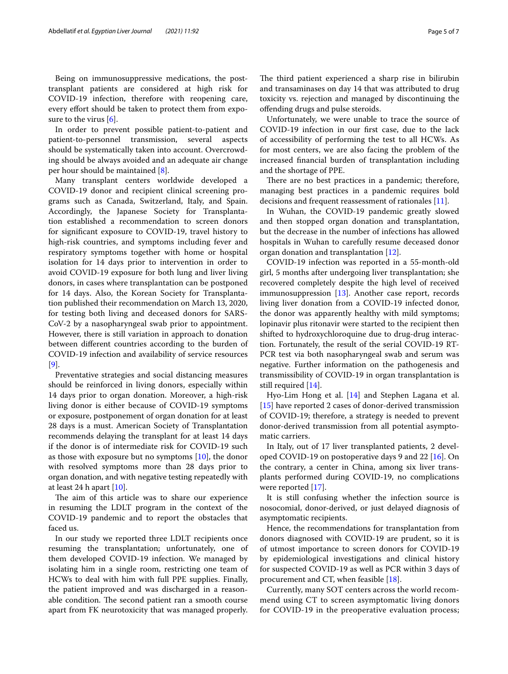Being on immunosuppressive medications, the posttransplant patients are considered at high risk for COVID-19 infection, therefore with reopening care, every efort should be taken to protect them from exposure to the virus [\[6\]](#page-6-4).

In order to prevent possible patient-to-patient and patient-to-personnel transmission, several aspects should be systematically taken into account. Overcrowding should be always avoided and an adequate air change per hour should be maintained [\[8](#page-6-6)].

Many transplant centers worldwide developed a COVID-19 donor and recipient clinical screening programs such as Canada, Switzerland, Italy, and Spain. Accordingly, the Japanese Society for Transplantation established a recommendation to screen donors for signifcant exposure to COVID-19, travel history to high-risk countries, and symptoms including fever and respiratory symptoms together with home or hospital isolation for 14 days prior to intervention in order to avoid COVID-19 exposure for both lung and liver living donors, in cases where transplantation can be postponed for 14 days. Also, the Korean Society for Transplantation published their recommendation on March 13, 2020, for testing both living and deceased donors for SARS-CoV-2 by a nasopharyngeal swab prior to appointment. However, there is still variation in approach to donation between diferent countries according to the burden of COVID-19 infection and availability of service resources [[9\]](#page-6-7).

Preventative strategies and social distancing measures should be reinforced in living donors, especially within 14 days prior to organ donation. Moreover, a high-risk living donor is either because of COVID-19 symptoms or exposure, postponement of organ donation for at least 28 days is a must. American Society of Transplantation recommends delaying the transplant for at least 14 days if the donor is of intermediate risk for COVID-19 such as those with exposure but no symptoms [[10\]](#page-6-8), the donor with resolved symptoms more than 28 days prior to organ donation, and with negative testing repeatedly with at least 24 h apart  $[10]$  $[10]$ .

The aim of this article was to share our experience in resuming the LDLT program in the context of the COVID-19 pandemic and to report the obstacles that faced us.

In our study we reported three LDLT recipients once resuming the transplantation; unfortunately, one of them developed COVID-19 infection. We managed by isolating him in a single room, restricting one team of HCWs to deal with him with full PPE supplies. Finally, the patient improved and was discharged in a reasonable condition. The second patient ran a smooth course apart from FK neurotoxicity that was managed properly.

The third patient experienced a sharp rise in bilirubin and transaminases on day 14 that was attributed to drug toxicity vs. rejection and managed by discontinuing the ofending drugs and pulse steroids.

Unfortunately, we were unable to trace the source of COVID-19 infection in our frst case, due to the lack of accessibility of performing the test to all HCWs. As for most centers, we are also facing the problem of the increased fnancial burden of transplantation including and the shortage of PPE.

There are no best practices in a pandemic; therefore, managing best practices in a pandemic requires bold decisions and frequent reassessment of rationales [[11](#page-6-9)].

In Wuhan, the COVID-19 pandemic greatly slowed and then stopped organ donation and transplantation, but the decrease in the number of infections has allowed hospitals in Wuhan to carefully resume deceased donor organ donation and transplantation [\[12\]](#page-6-10).

COVID-19 infection was reported in a 55-month-old girl, 5 months after undergoing liver transplantation; she recovered completely despite the high level of received immunosuppression [[13\]](#page-6-11). Another case report, records living liver donation from a COVID-19 infected donor, the donor was apparently healthy with mild symptoms; lopinavir plus ritonavir were started to the recipient then shifted to hydroxychloroquine due to drug-drug interaction. Fortunately, the result of the serial COVID-19 RT-PCR test via both nasopharyngeal swab and serum was negative. Further information on the pathogenesis and transmissibility of COVID-19 in organ transplantation is still required [\[14](#page-6-12)].

Hyo-Lim Hong et al. [[14\]](#page-6-12) and Stephen Lagana et al. [[15\]](#page-6-13) have reported 2 cases of donor-derived transmission of COVID-19; therefore, a strategy is needed to prevent donor-derived transmission from all potential asymptomatic carriers.

In Italy, out of 17 liver transplanted patients, 2 developed COVID-19 on postoperative days 9 and 22 [[16\]](#page-6-14). On the contrary, a center in China, among six liver transplants performed during COVID-19, no complications were reported [[17\]](#page-6-15).

It is still confusing whether the infection source is nosocomial, donor-derived, or just delayed diagnosis of asymptomatic recipients.

Hence, the recommendations for transplantation from donors diagnosed with COVID-19 are prudent, so it is of utmost importance to screen donors for COVID-19 by epidemiological investigations and clinical history for suspected COVID-19 as well as PCR within 3 days of procurement and CT, when feasible [[18\]](#page-6-16).

Currently, many SOT centers across the world recommend using CT to screen asymptomatic living donors for COVID-19 in the preoperative evaluation process;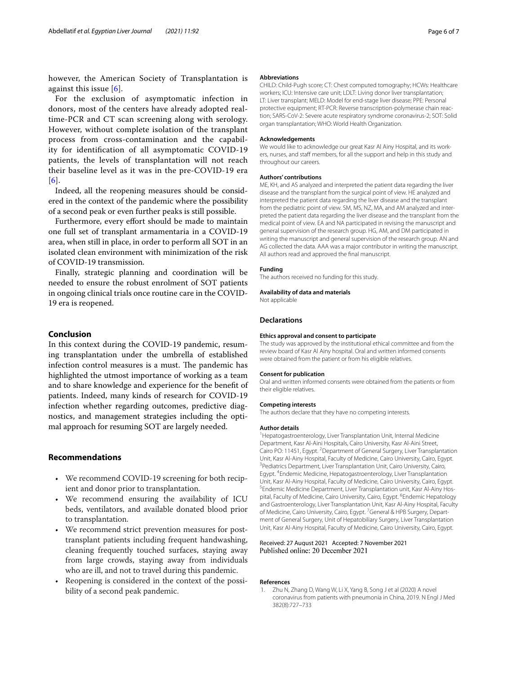however, the American Society of Transplantation is against this issue [\[6\]](#page-6-4).

For the exclusion of asymptomatic infection in donors, most of the centers have already adopted realtime-PCR and CT scan screening along with serology. However, without complete isolation of the transplant process from cross-contamination and the capability for identifcation of all asymptomatic COVID-19 patients, the levels of transplantation will not reach their baseline level as it was in the pre-COVID-19 era [[6](#page-6-4)].

Indeed, all the reopening measures should be considered in the context of the pandemic where the possibility of a second peak or even further peaks is still possible.

Furthermore, every effort should be made to maintain one full set of transplant armamentaria in a COVID-19 area, when still in place, in order to perform all SOT in an isolated clean environment with minimization of the risk of COVID-19 transmission.

Finally, strategic planning and coordination will be needed to ensure the robust enrolment of SOT patients in ongoing clinical trials once routine care in the COVID-19 era is reopened.

## **Conclusion**

In this context during the COVID-19 pandemic, resuming transplantation under the umbrella of established infection control measures is a must. The pandemic has highlighted the utmost importance of working as a team and to share knowledge and experience for the beneft of patients. Indeed, many kinds of research for COVID-19 infection whether regarding outcomes, predictive diagnostics, and management strategies including the optimal approach for resuming SOT are largely needed.

## **Recommendations**

- We recommend COVID-19 screening for both recipient and donor prior to transplantation.
- We recommend ensuring the availability of ICU beds, ventilators, and available donated blood prior to transplantation.
- We recommend strict prevention measures for posttransplant patients including frequent handwashing, cleaning frequently touched surfaces, staying away from large crowds, staying away from individuals who are ill, and not to travel during this pandemic.
- Reopening is considered in the context of the possibility of a second peak pandemic.

#### **Abbreviations**

CHILD: Child-Pugh score; CT: Chest computed tomography; HCWs: Healthcare workers; ICU: Intensive care unit; LDLT: Living donor liver transplantation; LT: Liver transplant; MELD: Model for end-stage liver disease; PPE: Personal protective equipment; RT-PCR: Reverse transcription-polymerase chain reaction; SARS-CoV-2: Severe acute respiratory syndrome coronavirus-2; SOT: Solid organ transplantation; WHO: World Health Organization.

#### **Acknowledgements**

We would like to acknowledge our great Kasr Al Ainy Hospital, and its workers, nurses, and staff members, for all the support and help in this study and throughout our careers.

#### **Authors' contributions**

ME, KH, and AS analyzed and interpreted the patient data regarding the liver disease and the transplant from the surgical point of view. HE analyzed and interpreted the patient data regarding the liver disease and the transplant from the pediatric point of view. SM, MS, NZ, MA, and AM analyzed and interpreted the patient data regarding the liver disease and the transplant from the medical point of view. EA and NA participated in revising the manuscript and general supervision of the research group. HG, AM, and DM participated in writing the manuscript and general supervision of the research group. AN and AG collected the data. AAA was a major contributor in writing the manuscript. All authors read and approved the fnal manuscript.

#### **Funding**

The authors received no funding for this study.

### **Availability of data and materials**

Not applicable

## **Declarations**

#### **Ethics approval and consent to participate**

The study was approved by the institutional ethical committee and from the review board of Kasr Al Ainy hospital. Oral and written informed consents were obtained from the patient or from his eligible relatives.

#### **Consent for publication**

Oral and written informed consents were obtained from the patients or from their eligible relatives.

## **Competing interests**

The authors declare that they have no competing interests.

#### **Author details**

<sup>1</sup> Hepatogastroenterology, Liver Transplantation Unit, Internal Medicine Department, Kasr Al-Aini Hospitals, Cairo University, Kasr Al-Aini Street, Cairo PO: 11451, Egypt. <sup>2</sup> Department of General Surgery, Liver Transplantation Unit, Kasr Al-Ainy Hospital, Faculty of Medicine, Cairo University, Cairo, Egypt. 3 <sup>3</sup> Pediatrics Department, Liver Transplantation Unit, Cairo University, Cairo, Egypt. 4 Endemic Medicine, Hepatogastroenterology, Liver Transplantation Unit, Kasr Al-Ainy Hospital, Faculty of Medicine, Cairo University, Cairo, Egypt. 5 <sup>5</sup>Endemic Medicine Department, Liver Transplantation unit, Kasr Al-Ainy Hospital, Faculty of Medicine, Cairo University, Cairo, Egypt. <sup>6</sup>Endemic Hepatology and Gastroenterology, Liver Transplantation Unit, Kasr Al-Ainy Hospital, Faculty of Medicine, Cairo University, Cairo, Egypt. <sup>7</sup> General & HPB Surgery, Department of General Surgery, Unit of Hepatobiliary Surgery, Liver Transplantation Unit, Kasr Al-Ainy Hospital, Faculty of Medicine, Cairo University, Cairo, Egypt.

## Received: 27 August 2021 Accepted: 7 November 2021 Published online: 20 December 2021

#### **References**

<span id="page-5-0"></span>1. Zhu N, Zhang D, Wang W, Li X, Yang B, Song J et al (2020) A novel coronavirus from patients with pneumonia in China, 2019. N Engl J Med 382(8):727–733